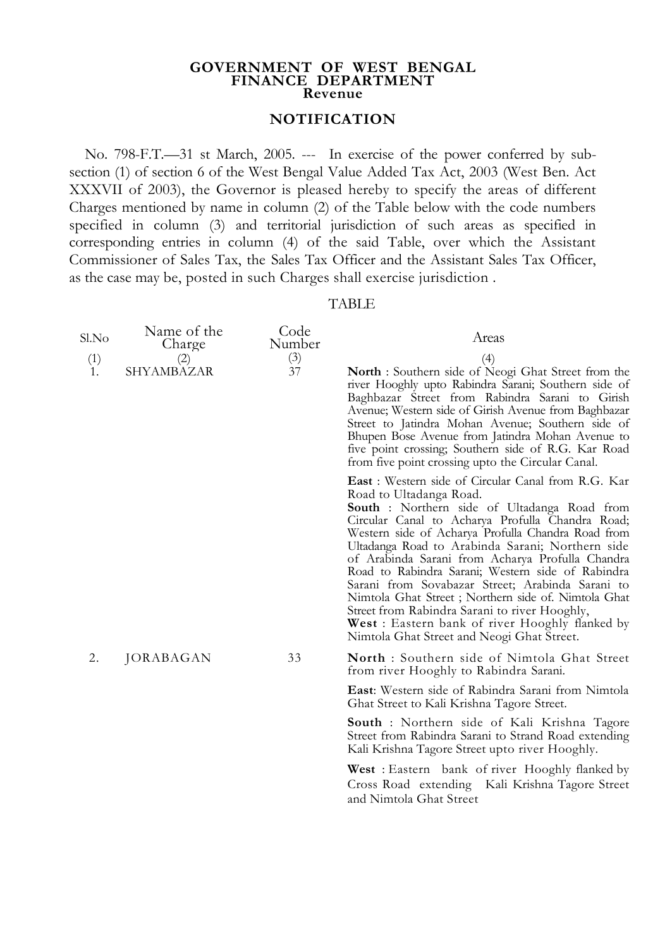## **GOVERNMENT OF WEST BENGAL FINANCE DEPARTMENT Revenue**

## **NOTIFICATION**

No. 798-F.T.—31 st March, 2005. --- In exercise of the power conferred by subsection (1) of section 6 of the West Bengal Value Added Tax Act, 2003 (West Ben. Act XXXVII of 2003), the Governor is pleased hereby to specify the areas of different Charges mentioned by name in column (2) of the Table below with the code numbers specified in column (3) and territorial jurisdiction of such areas as specified in corresponding entries in column (4) of the said Table, over which the Assistant Commissioner of Sales Tax, the Sales Tax Officer and the Assistant Sales Tax Officer, as the case may be, posted in such Charges shall exercise jurisdiction .

## TABLE

| Sl.No<br>(1)<br>1. | Name of the<br>Charge<br>(2)<br>SHYAMBAZAR | Code<br>Number<br>(3)<br>37 | Areas<br>(4)<br>North : Southern side of Neogi Ghat Street from the<br>river Hooghly upto Rabindra Sarani; Southern side of<br>Baghbazar Street from Rabindra Sarani to Girish<br>Avenue; Western side of Girish Avenue from Baghbazar<br>Street to Jatindra Mohan Avenue; Southern side of<br>Bhupen Bose Avenue from Jatindra Mohan Avenue to<br>five point crossing; Southern side of R.G. Kar Road<br>from five point crossing upto the Circular Canal.                                                                                                                                                                                                                             |
|--------------------|--------------------------------------------|-----------------------------|-----------------------------------------------------------------------------------------------------------------------------------------------------------------------------------------------------------------------------------------------------------------------------------------------------------------------------------------------------------------------------------------------------------------------------------------------------------------------------------------------------------------------------------------------------------------------------------------------------------------------------------------------------------------------------------------|
|                    |                                            |                             | <b>East</b> : Western side of Circular Canal from R.G. Kar<br>Road to Ultadanga Road.<br><b>South</b> : Northern side of Ultadanga Road from<br>Circular Canal to Acharya Profulla Chandra Road;<br>Western side of Acharya Profulla Chandra Road from<br>Ultadanga Road to Arabinda Sarani; Northern side<br>of Arabinda Sarani from Acharya Profulla Chandra<br>Road to Rabindra Sarani; Western side of Rabindra<br>Sarani from Sovabazar Street; Arabinda Sarani to<br>Nimtola Ghat Street; Northern side of. Nimtola Ghat<br>Street from Rabindra Sarani to river Hooghly,<br><b>West</b> : Eastern bank of river Hooghly flanked by<br>Nimtola Ghat Street and Neogi Ghat Street. |
| 2.                 | JORABAGAN                                  | 33                          | <b>North</b> : Southern side of Nimtola Ghat Street<br>from river Hooghly to Rabindra Sarani.                                                                                                                                                                                                                                                                                                                                                                                                                                                                                                                                                                                           |
|                    |                                            |                             | <b>East:</b> Western side of Rabindra Sarani from Nimtola<br>Ghat Street to Kali Krishna Tagore Street.                                                                                                                                                                                                                                                                                                                                                                                                                                                                                                                                                                                 |
|                    |                                            |                             | <b>South</b> : Northern side of Kali Krishna Tagore<br>Street from Rabindra Sarani to Strand Road extending<br>Kali Krishna Tagore Street upto river Hooghly.                                                                                                                                                                                                                                                                                                                                                                                                                                                                                                                           |
|                    |                                            |                             | <b>West</b> : Eastern bank of river Hooghly flanked by<br>Cross Road extending Kali Krishna Tagore Street<br>and Nimtola Ghat Street                                                                                                                                                                                                                                                                                                                                                                                                                                                                                                                                                    |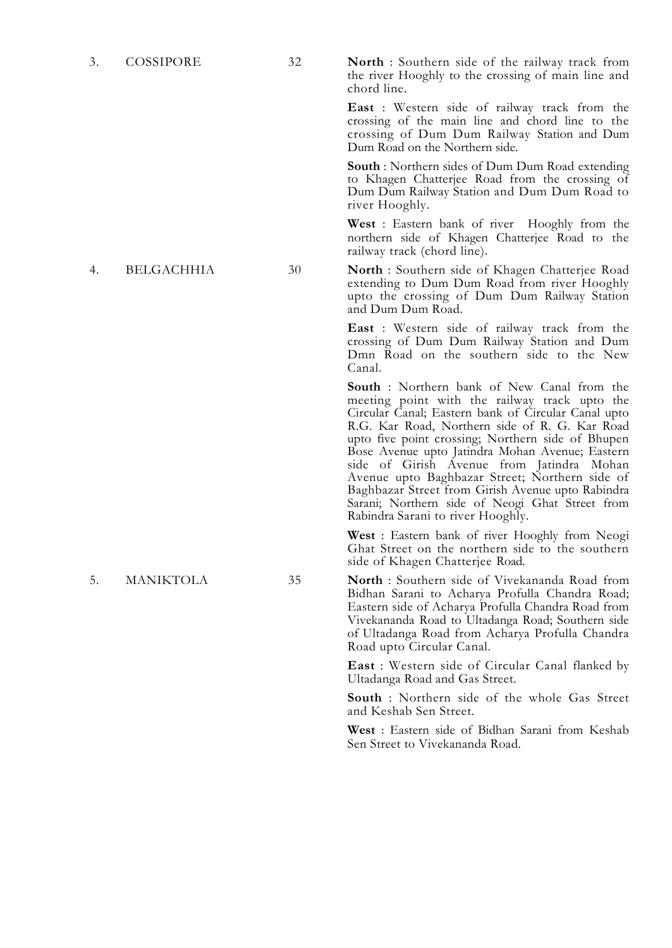3. COSSIPORE 32 **North** : Southern side of the railway track from the river Hooghly to the crossing of main line and chord line.

> **East** : Western side of railway track from the crossing of the main line and chord line to the crossing of Dum Dum Railway Station and Dum Dum Road on the Northern side.

> **South** : Northern sides of Dum Dum Road extending to Khagen Chatterjee Road from the crossing of Dum Dum Railway Station and Dum Dum Road to river Hooghly.

> **West** : Eastern bank of river Hooghly from the northern side of Khagen Chatterjee Road to the railway track (chord line).

4. BELGACHHIA 30 **North** : Southern side of Khagen Chatterjee Road extending to Dum Dum Road from river Hooghly upto the crossing of Dum Dum Railway Station and Dum Dum Road.

> **East** : Western side of railway track from the crossing of Dum Dum Railway Station and Dum Dmn Road on the southern side to the New Canal.

> **South** : Northern bank of New Canal from the meeting point with the railway track upto the Circular Canal; Eastern bank of Circular Canal upto R.G. Kar Road, Northern side of R. G. Kar Road upto five point crossing; Northern side of Bhupen Bose Avenue upto Jatindra Mohan Avenue; Eastern side of Girish Avenue from Jatindra Mohan Avenue upto Baghbazar Street; Northern side of Baghbazar Street from Girish Avenue upto Rabindra Sarani; Northern side of Neogi Ghat Street from Rabindra Sarani to river Hooghly.

> **West** : Eastern bank of river Hooghly from Neogi Ghat Street on the northern side to the southern side of Khagen Chatterjee Road.

5. MANIKTOLA 35 **North** : Southern side of Vivekananda Road from Bidhan Sarani to Acharya Profulla Chandra Road; Eastern side of Acharya Profulla Chandra Road from Vivekananda Road to Ultadanga Road; Southern side of Ultadanga Road from Acharya Profulla Chandra Road upto Circular Canal.

> **East** : Western side of Circular Canal flanked by Ultadanga Road and Gas Street.

> **South** : Northern side of the whole Gas Street and Keshab Sen Street.

> **West** : Eastern side of Bidhan Sarani from Keshab Sen Street to Vivekananda Road.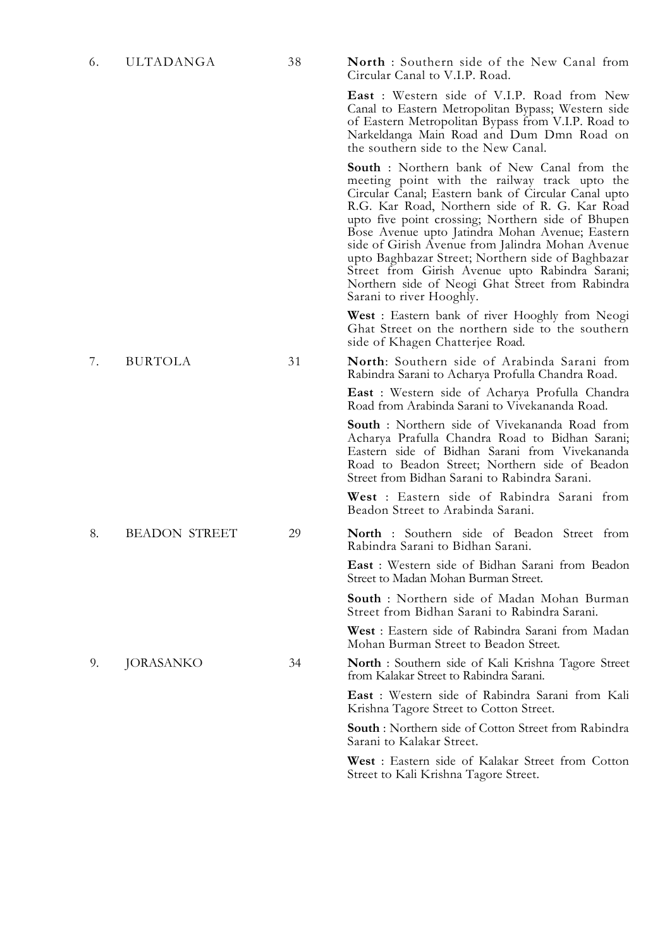6. ULTADANGA 38 **North** : Southern side of the New Canal from Circular Canal to V.I.P. Road.

> **East** : Western side of V.I.P. Road from New Canal to Eastern Metropolitan Bypass; Western side of Eastern Metropolitan Bypass from V.I.P. Road to Narkeldanga Main Road and Dum Dmn Road on the southern side to the New Canal.

> **South** : Northern bank of New Canal from the meeting point with the railway track upto the Circular Canal; Eastern bank of Circular Canal upto R.G. Kar Road, Northern side of R. G. Kar Road upto five point crossing; Northern side of Bhupen Bose Avenue upto Jatindra Mohan Avenue; Eastern side of Girish Avenue from Jalindra Mohan Avenue upto Baghbazar Street; Northern side of Baghbazar Street from Girish Avenue upto Rabindra Sarani; Northern side of Neogi Ghat Street from Rabindra Sarani to river Hooghly.

> **West** : Eastern bank of river Hooghly from Neogi Ghat Street on the northern side to the southern side of Khagen Chatterjee Road.

7. BURTOLA 31 **North**: Southern side of Arabinda Sarani from Rabindra Sarani to Acharya Profulla Chandra Road.

> **East** : Western side of Acharya Profulla Chandra Road from Arabinda Sarani to Vivekananda Road.

> **South** : Northern side of Vivekananda Road from Acharya Prafulla Chandra Road to Bidhan Sarani; Eastern side of Bidhan Sarani from Vivekananda Road to Beadon Street; Northern side of Beadon Street from Bidhan Sarani to Rabindra Sarani.

> **West** : Eastern side of Rabindra Sarani from Beadon Street to Arabinda Sarani.

8. BEADON STREET 29 **North** : Southern side of Beadon Street from Rabindra Sarani to Bidhan Sarani.

> **East** : Western side of Bidhan Sarani from Beadon Street to Madan Mohan Burman Street.

> **South** : Northern side of Madan Mohan Burman Street from Bidhan Sarani to Rabindra Sarani.

> **West** : Eastern side of Rabindra Sarani from Madan Mohan Burman Street to Beadon Street.

9. JORASANKO 34 **North** : Southern side of Kali Krishna Tagore Street from Kalakar Street to Rabindra Sarani.

> **East** : Western side of Rabindra Sarani from Kali Krishna Tagore Street to Cotton Street.

> **South** : Northern side of Cotton Street from Rabindra Sarani to Kalakar Street.

> **West** : Eastern side of Kalakar Street from Cotton Street to Kali Krishna Tagore Street.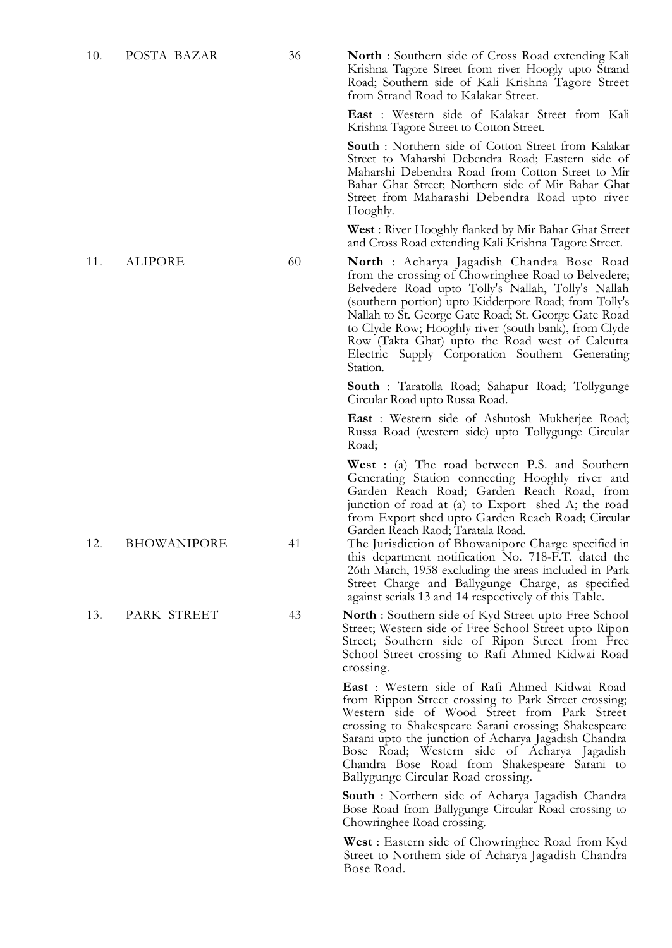10. POSTA BAZAR 36 **North** : Southern side of Cross Road extending Kali Krishna Tagore Street from river Hoogly upto Strand Road; Southern side of Kali Krishna Tagore Street from Strand Road to Kalakar Street.

> **East** : Western side of Kalakar Street from Kali Krishna Tagore Street to Cotton Street.

> **South** : Northern side of Cotton Street from Kalakar Street to Maharshi Debendra Road; Eastern side of Maharshi Debendra Road from Cotton Street to Mir Bahar Ghat Street; Northern side of Mir Bahar Ghat Street from Maharashi Debendra Road upto river Hooghly.

> **West** : River Hooghly flanked by Mir Bahar Ghat Street and Cross Road extending Kali Krishna Tagore Street.

11. ALIPORE 60 **North** : Acharya Jagadish Chandra Bose Road from the crossing of Chowringhee Road to Belvedere; Belvedere Road upto Tolly's Nallah, Tolly's Nallah (southern portion) upto Kidderpore Road; from Tolly's Nallah to St. George Gate Road; St. George Gate Road to Clyde Row; Hooghly river (south bank), from Clyde Row (Takta Ghat) upto the Road west of Calcutta Electric Supply Corporation Southern Generating Station.

> **South** : Taratolla Road; Sahapur Road; Tollygunge Circular Road upto Russa Road.

> **East** : Western side of Ashutosh Mukherjee Road; Russa Road (western side) upto Tollygunge Circular Road;

> **West** : (a) The road between P.S. and Southern Generating Station connecting Hooghly river and Garden Reach Road; Garden Reach Road, from junction of road at (a) to Export shed A; the road from Export shed upto Garden Reach Road; Circular Garden Reach Raod; Taratala Road.

12. BHOWANIPORE 41 The Jurisdiction of Bhowanipore Charge specified in this department notification No. 718-F.T. dated the 26th March, 1958 excluding the areas included in Park Street Charge and Ballygunge Charge, as specified against serials 13 and 14 respectively of this Table.

13. PARK STREET 43 **North** : Southern side of Kyd Street upto Free School Street; Western side of Free School Street upto Ripon Street; Southern side of Ripon Street from Free School Street crossing to Rafi Ahmed Kidwai Road crossing.

> **East** : Western side of Rafi Ahmed Kidwai Road from Rippon Street crossing to Park Street crossing; Western side of Wood Street from Park Street crossing to Shakespeare Sarani crossing; Shakespeare Sarani upto the junction of Acharya Jagadish Chandra Bose Road; Western side of Acharya Jagadish Chandra Bose Road from Shakespeare Sarani to Ballygunge Circular Road crossing.

> **South** : Northern side of Acharya Jagadish Chandra Bose Road from Ballygunge Circular Road crossing to Chowringhee Road crossing.

> **West** : Eastern side of Chowringhee Road from Kyd Street to Northern side of Acharya Jagadish Chandra Bose Road.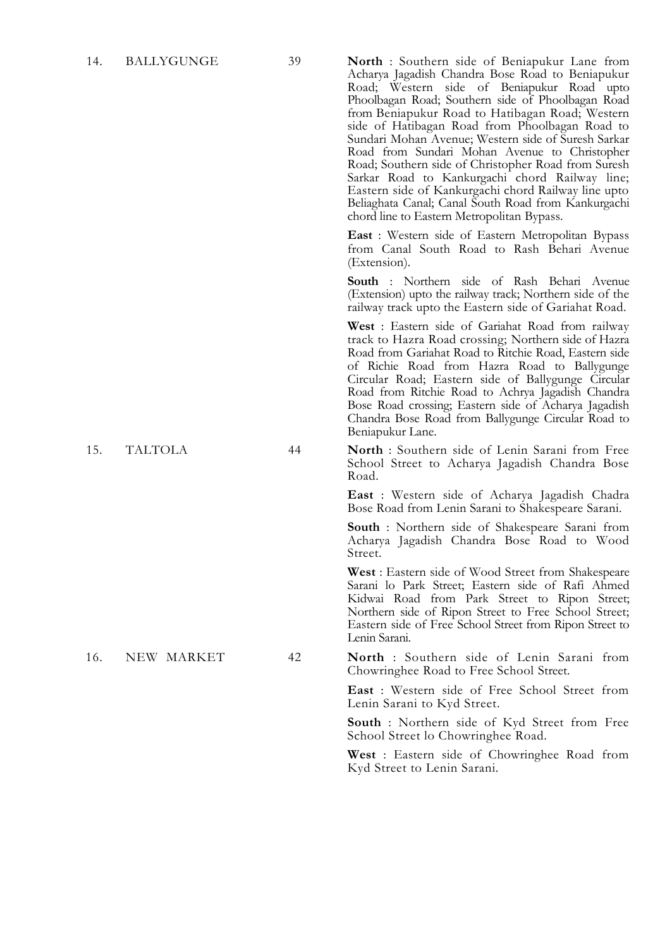14. BALLYGUNGE 39 **North** : Southern side of Beniapukur Lane from Acharya Jagadish Chandra Bose Road to Beniapukur Road; Western side of Beniapukur Road upto Phoolbagan Road; Southern side of Phoolbagan Road from Beniapukur Road to Hatibagan Road; Western side of Hatibagan Road from Phoolbagan Road to Sundari Mohan Avenue; Western side of Suresh Sarkar Road from Sundari Mohan Avenue to Christopher Road; Southern side of Christopher Road from Suresh Sarkar Road to Kankurgachi chord Railway line; Eastern side of Kankurgachi chord Railway line upto Beliaghata Canal; Canal South Road from Kankurgachi chord line to Eastern Metropolitan Bypass.

> **East** : Western side of Eastern Metropolitan Bypass from Canal South Road to Rash Behari Avenue (Extension).

> **South** : Northern side of Rash Behari Avenue (Extension) upto the railway track; Northern side of the railway track upto the Eastern side of Gariahat Road.

> **West** : Eastern side of Gariahat Road from railway track to Hazra Road crossing; Northern side of Hazra Road from Gariahat Road to Ritchie Road, Eastern side of Richie Road from Hazra Road to Ballygunge Circular Road; Eastern side of Ballygunge Circular Road from Ritchie Road to Achrya Jagadish Chandra Bose Road crossing; Eastern side of Acharya Jagadish Chandra Bose Road from Ballygunge Circular Road to Beniapukur Lane.

15. TALTOLA 44 **North** : Southern side of Lenin Sarani from Free School Street to Acharya Jagadish Chandra Bose Road.

> **East** : Western side of Acharya Jagadish Chadra Bose Road from Lenin Sarani to Shakespeare Sarani.

> **South** : Northern side of Shakespeare Sarani from Acharya Jagadish Chandra Bose Road to Wood Street.

> **West** : Eastern side of Wood Street from Shakespeare Sarani lo Park Street; Eastern side of Rafi Ahmed Kidwai Road from Park Street to Ripon Street; Northern side of Ripon Street to Free School Street; Eastern side of Free School Street from Ripon Street to Lenin Sarani.

16. NEW MARKET 42 **North** : Southern side of Lenin Sarani from Chowringhee Road to Free School Street.

> **East** : Western side of Free School Street from Lenin Sarani to Kyd Street.

> **South** : Northern side of Kyd Street from Free School Street lo Chowringhee Road.

> **West** : Eastern side of Chowringhee Road from Kyd Street to Lenin Sarani.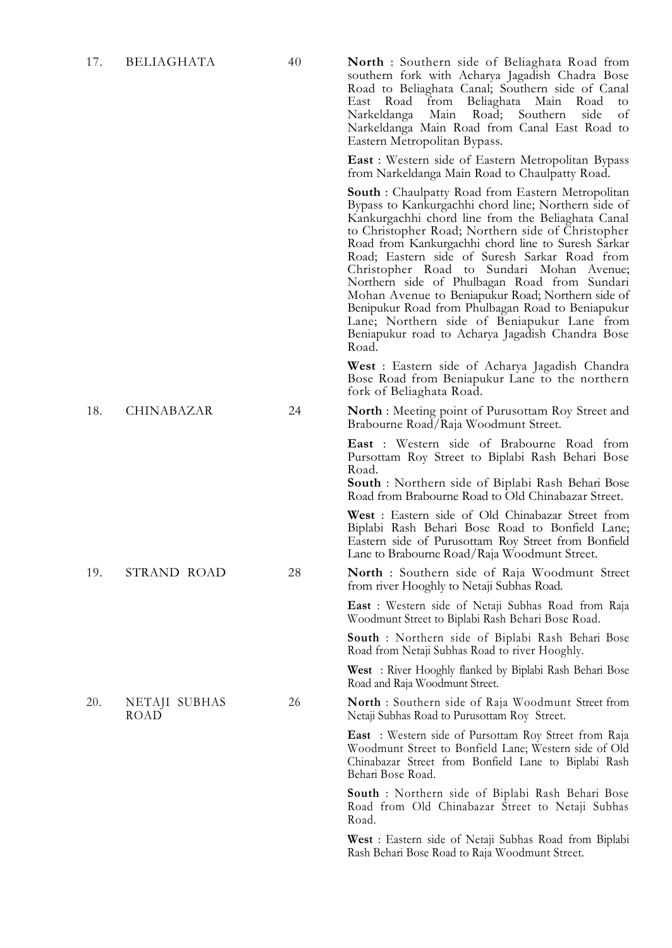17. BELIAGHATA 40 **North** : Southern side of Beliaghata Road from southern fork with Acharya Jagadish Chadra Bose Road to Beliaghata Canal; Southern side of Canal East Road from Beliaghata Main Road to Narkeldanga Narkeldanga Main Road from Canal East Road to Eastern Metropolitan Bypass.

> **East** : Western side of Eastern Metropolitan Bypass from Narkeldanga Main Road to Chaulpatty Road.

**South** : Chaulpatty Road from Eastern Metropolitan Bypass to Kankurgachhi chord line; Northern side of Kankurgachhi chord line from the Beliaghata Canal to Christopher Road; Northern side of Christopher Road from Kankurgachhi chord line to Suresh Sarkar Road; Eastern side of Suresh Sarkar Road from Christopher Road to Sundari Mohan Avenue; Northern side of Phulbagan Road from Sundari Mohan Avenue to Beniapukur Road; Northern side of Benipukur Road from Phulbagan Road to Beniapukur Lane; Northern side of Beniapukur Lane from Beniapukur road to Acharya Jagadish Chandra Bose Road.

**West** : Eastern side of Acharya Jagadish Chandra Bose Road from Beniapukur Lane to the northern fork of Beliaghata Road.

18. CHINABAZAR 24 **North** : Meeting point of Purusottam Roy Street and Brabourne Road/Raja Woodmunt Street.

> **East** : Western side of Brabourne Road from Pursottam Roy Street to Biplabi Rash Behari Bose Road.

> **South** : Northern side of Biplabi Rash Behari Bose Road from Brabourne Road to Old Chinabazar Street.

> **West** : Eastern side of Old Chinabazar Street from Biplabi Rash Behari Bose Road to Bonfield Lane; Eastern side of Purusottam Roy Street from Bonfield Lane to Brabourne Road/Raja Woodmunt Street.

19. STRAND ROAD 28 **North** : Southern side of Raja Woodmunt Street from river Hooghly to Netaji Subhas Road.

> **East** : Western side of Netaji Subhas Road from Raja Woodmunt Street to Biplabi Rash Behari Bose Road.

> **South** : Northern side of Biplabi Rash Behari Bose Road from Netaji Subhas Road to river Hooghly.

> **West** : River Hooghly flanked by Biplabi Rash Behari Bose Road and Raja Woodmunt Street.

26 **North** : Southern side of Raja Woodmunt Street from Netaji Subhas Road to Purusottam Roy Street.

> **East** : Western side of Pursottam Roy Street from Raja Woodmunt Street to Bonfield Lane; Western side of Old Chinabazar Street from Bonfield Lane to Biplabi Rash Behari Bose Road.

> **South** : Northern side of Biplabi Rash Behari Bose Road from Old Chinabazar Street to Netaji Subhas Road.

> **West** : Eastern side of Netaji Subhas Road from Biplabi Rash Behari Bose Road to Raja Woodmunt Street.

20. NETAJI SUBHAS ROAD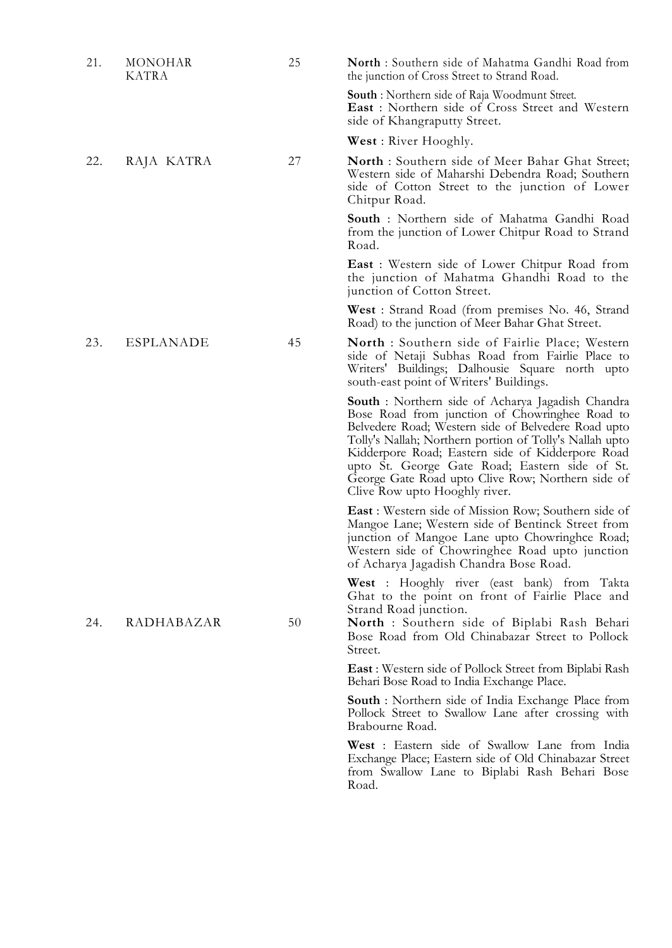| 21. | MONOHAR<br>KATRA | 25 | North: Southern side of Mahatma Gandhi Road from<br>the junction of Cross Street to Strand Road.                                                                                                                                                                                                                                                                                                                         |
|-----|------------------|----|--------------------------------------------------------------------------------------------------------------------------------------------------------------------------------------------------------------------------------------------------------------------------------------------------------------------------------------------------------------------------------------------------------------------------|
|     |                  |    | <b>South</b> : Northern side of Raja Woodmunt Street.<br><b>East</b> : Northern side of Cross Street and Western<br>side of Khangraputty Street.                                                                                                                                                                                                                                                                         |
|     |                  |    | <b>West</b> : River Hooghly.                                                                                                                                                                                                                                                                                                                                                                                             |
| 22. | RAJA KATRA       | 27 | <b>North</b> : Southern side of Meer Bahar Ghat Street;<br>Western side of Maharshi Debendra Road; Southern<br>side of Cotton Street to the junction of Lower<br>Chitpur Road.                                                                                                                                                                                                                                           |
|     |                  |    | <b>South</b> : Northern side of Mahatma Gandhi Road<br>from the junction of Lower Chitpur Road to Strand<br>Road.                                                                                                                                                                                                                                                                                                        |
|     |                  |    | <b>East</b> : Western side of Lower Chitpur Road from<br>the junction of Mahatma Ghandhi Road to the<br>junction of Cotton Street.                                                                                                                                                                                                                                                                                       |
|     |                  |    | West: Strand Road (from premises No. 46, Strand<br>Road) to the junction of Meer Bahar Ghat Street.                                                                                                                                                                                                                                                                                                                      |
| 23. | <b>ESPLANADE</b> | 45 | <b>North</b> : Southern side of Fairlie Place; Western<br>side of Netaji Subhas Road from Fairlie Place to<br>Writers' Buildings; Dalhousie Square north upto<br>south-east point of Writers' Buildings.                                                                                                                                                                                                                 |
|     |                  |    | <b>South</b> : Northern side of Acharya Jagadish Chandra<br>Bose Road from junction of Chowringhee Road to<br>Belvedere Road; Western side of Belvedere Road upto<br>Tolly's Nallah; Northern portion of Tolly's Nallah upto<br>Kidderpore Road; Eastern side of Kidderpore Road<br>upto St. George Gate Road; Eastern side of St.<br>George Gate Road upto Clive Row; Northern side of<br>Clive Row upto Hooghly river. |
|     |                  |    | <b>East</b> : Western side of Mission Row; Southern side of<br>Mangoe Lane; Western side of Bentinck Street from<br>junction of Mangoe Lane upto Chowringhce Road;<br>Western side of Chowringhee Road upto junction<br>of Acharya Jagadish Chandra Bose Road.                                                                                                                                                           |
| 24. | RADHABAZAR       | 50 | <b>West</b> : Hooghly river (east bank) from Takta<br>Ghat to the point on front of Fairlie Place and<br>Strand Road junction.<br>North : Southern side of Biplabi Rash Behari<br>Bose Road from Old Chinabazar Street to Pollock<br>Street.                                                                                                                                                                             |
|     |                  |    | <b>East:</b> Western side of Pollock Street from Biplabi Rash<br>Behari Bose Road to India Exchange Place.                                                                                                                                                                                                                                                                                                               |
|     |                  |    | <b>South</b> : Northern side of India Exchange Place from<br>Pollock Street to Swallow Lane after crossing with<br>Brabourne Road.                                                                                                                                                                                                                                                                                       |
|     |                  |    | West: Eastern side of Swallow Lane from India<br>Exchange Place; Eastern side of Old Chinabazar Street                                                                                                                                                                                                                                                                                                                   |

Road.

from Swallow Lane to Biplabi Rash Behari Bose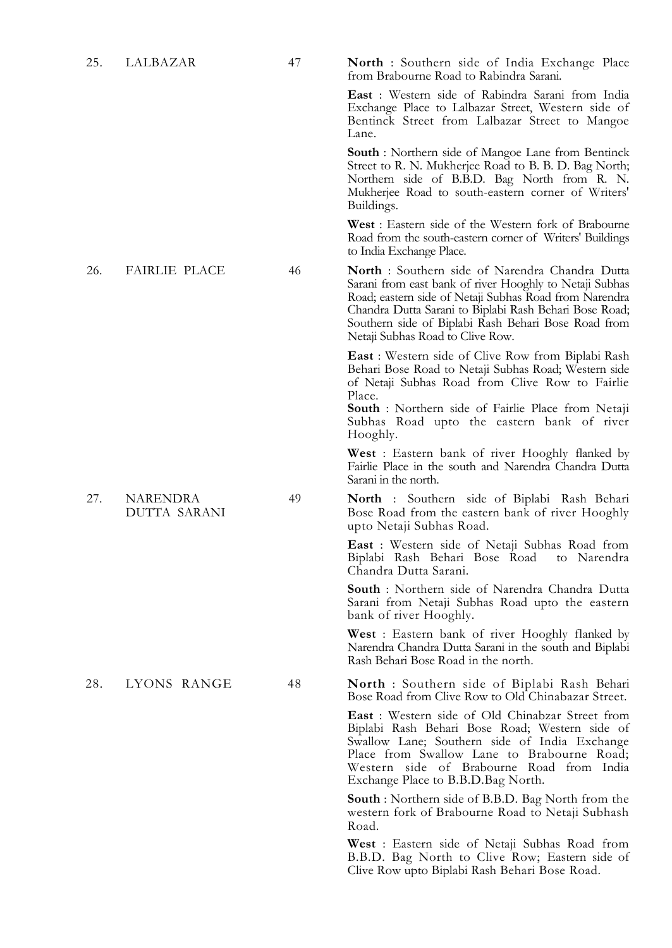27. NARENDRA DUTTA SARANI

25. LALBAZAR 47 **North** : Southern side of India Exchange Place from Brabourne Road to Rabindra Sarani.

> **East** : Western side of Rabindra Sarani from India Exchange Place to Lalbazar Street, Western side of Bentinck Street from Lalbazar Street to Mangoe Lane.

> **South** : Northern side of Mangoe Lane from Bentinck Street to R. N. Mukherjee Road to B. B. D. Bag North; Northern side of B.B.D. Bag North from R. N. Mukherjee Road to south-eastern corner of Writers' Buildings.

> **West** : Eastern side of the Western fork of Brabourne Road from the south-eastern corner of Writers' Buildings to India Exchange Place.

26. FAIRLIE PLACE 46 **North** : Southern side of Narendra Chandra Dutta Sarani from east bank of river Hooghly to Netaji Subhas Road; eastern side of Netaji Subhas Road from Narendra Chandra Dutta Sarani to Biplabi Rash Behari Bose Road; Southern side of Biplabi Rash Behari Bose Road from Netaji Subhas Road to Clive Row.

> **East** : Western side of Clive Row from Biplabi Rash Behari Bose Road to Netaji Subhas Road; Western side of Netaji Subhas Road from Clive Row to Fairlie Place.

> **South** : Northern side of Fairlie Place from Netaji Subhas Road upto the eastern bank of river Hooghly.

> **West** : Eastern bank of river Hooghly flanked by Fairlie Place in the south and Narendra Chandra Dutta Sarani in the north.

49 **North** : Southern side of Biplabi Rash Behari Bose Road from the eastern bank of river Hooghly upto Netaji Subhas Road.

> **East** : Western side of Netaji Subhas Road from Biplabi Rash Behari Bose Road Chandra Dutta Sarani.

> **South** : Northern side of Narendra Chandra Dutta Sarani from Netaji Subhas Road upto the eastern bank of river Hooghly.

> **West** : Eastern bank of river Hooghly flanked by Narendra Chandra Dutta Sarani in the south and Biplabi Rash Behari Bose Road in the north.

28. LYONS RANGE 48 **North** : Southern side of Biplabi Rash Behari Bose Road from Clive Row to Old Chinabazar Street.

> **East** : Western side of Old Chinabzar Street from Biplabi Rash Behari Bose Road; Western side of Swallow Lane; Southern side of India Exchange Place from Swallow Lane to Brabourne Road; Western side of Brabourne Road from India Exchange Place to B.B.D.Bag North.

> **South** : Northern side of B.B.D. Bag North from the western fork of Brabourne Road to Netaji Subhash Road.

> **West** : Eastern side of Netaji Subhas Road from B.B.D. Bag North to Clive Row; Eastern side of Clive Row upto Biplabi Rash Behari Bose Road.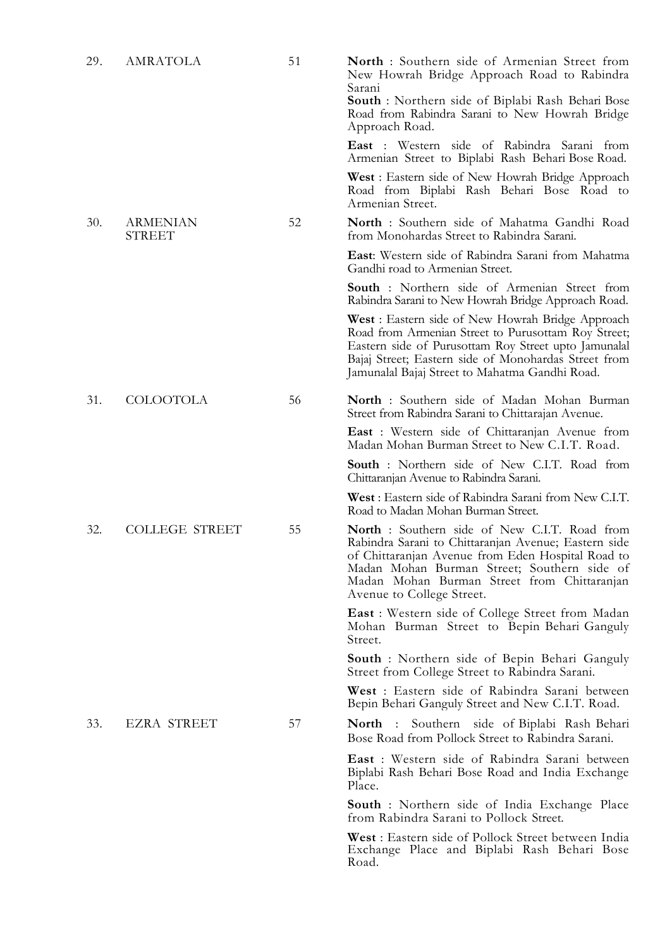| 29. | AMRATOLA                  | 51 | <b>North</b> : Southern side of Armenian Street from<br>New Howrah Bridge Approach Road to Rabindra<br>Sarani<br><b>South</b> : Northern side of Biplabi Rash Behari Bose<br>Road from Rabindra Sarani to New Howrah Bridge<br>Approach Road.                                                |
|-----|---------------------------|----|----------------------------------------------------------------------------------------------------------------------------------------------------------------------------------------------------------------------------------------------------------------------------------------------|
|     |                           |    | <b>East</b> : Western side of Rabindra Sarani from<br>Armenian Street to Biplabi Rash Behari Bose Road.                                                                                                                                                                                      |
|     |                           |    | <b>West</b> : Eastern side of New Howrah Bridge Approach<br>Road from Biplabi Rash Behari Bose Road to<br>Armenian Street.                                                                                                                                                                   |
| 30. | ARMENIAN<br><b>STREET</b> | 52 | North : Southern side of Mahatma Gandhi Road<br>from Monohardas Street to Rabindra Sarani.                                                                                                                                                                                                   |
|     |                           |    | East: Western side of Rabindra Sarani from Mahatma<br>Gandhi road to Armenian Street.                                                                                                                                                                                                        |
|     |                           |    | <b>South</b> : Northern side of Armenian Street from<br>Rabindra Sarani to New Howrah Bridge Approach Road.                                                                                                                                                                                  |
|     |                           |    | <b>West</b> : Eastern side of New Howrah Bridge Approach<br>Road from Armenian Street to Purusottam Roy Street;<br>Eastern side of Purusottam Roy Street upto Jamunalal<br>Bajaj Street; Eastern side of Monohardas Street from<br>Jamunalal Bajaj Street to Mahatma Gandhi Road.            |
| 31. | <b>COLOOTOLA</b>          | 56 | North : Southern side of Madan Mohan Burman<br>Street from Rabindra Sarani to Chittarajan Avenue.                                                                                                                                                                                            |
|     |                           |    | <b>East</b> : Western side of Chittaranjan Avenue from<br>Madan Mohan Burman Street to New C.I.T. Road.                                                                                                                                                                                      |
|     |                           |    | <b>South</b> : Northern side of New C.I.T. Road from<br>Chittaranjan Avenue to Rabindra Sarani.                                                                                                                                                                                              |
|     |                           |    | West : Eastern side of Rabindra Sarani from New C.I.T.<br>Road to Madan Mohan Burman Street.                                                                                                                                                                                                 |
| 32. | <b>COLLEGE STREET</b>     | 55 | <b>North</b> : Southern side of New C.I.T. Road from<br>Rabindra Sarani to Chittaranjan Avenue; Eastern side<br>of Chittaranjan Avenue from Eden Hospital Road to<br>Madan Mohan Burman Street; Southern side of<br>Madan Mohan Burman Street from Chittaranjan<br>Avenue to College Street. |
|     |                           |    | <b>East</b> : Western side of College Street from Madan<br>Mohan Burman Street to Bepin Behari Ganguly<br>Street.                                                                                                                                                                            |
|     |                           |    | <b>South</b> : Northern side of Bepin Behari Ganguly<br>Street from College Street to Rabindra Sarani.                                                                                                                                                                                       |
|     |                           |    | West : Eastern side of Rabindra Sarani between<br>Bepin Behari Ganguly Street and New C.I.T. Road.                                                                                                                                                                                           |
| 33. | <b>EZRA STREET</b>        | 57 | North : Southern side of Biplabi Rash Behari<br>Bose Road from Pollock Street to Rabindra Sarani.                                                                                                                                                                                            |
|     |                           |    | <b>East</b> : Western side of Rabindra Sarani between<br>Biplabi Rash Behari Bose Road and India Exchange<br>Place.                                                                                                                                                                          |
|     |                           |    | <b>South</b> : Northern side of India Exchange Place<br>from Rabindra Sarani to Pollock Street.                                                                                                                                                                                              |
|     |                           |    | <b>West</b> : Eastern side of Pollock Street between India<br>Exchange Place and Biplabi Rash Behari Bose<br>Road.                                                                                                                                                                           |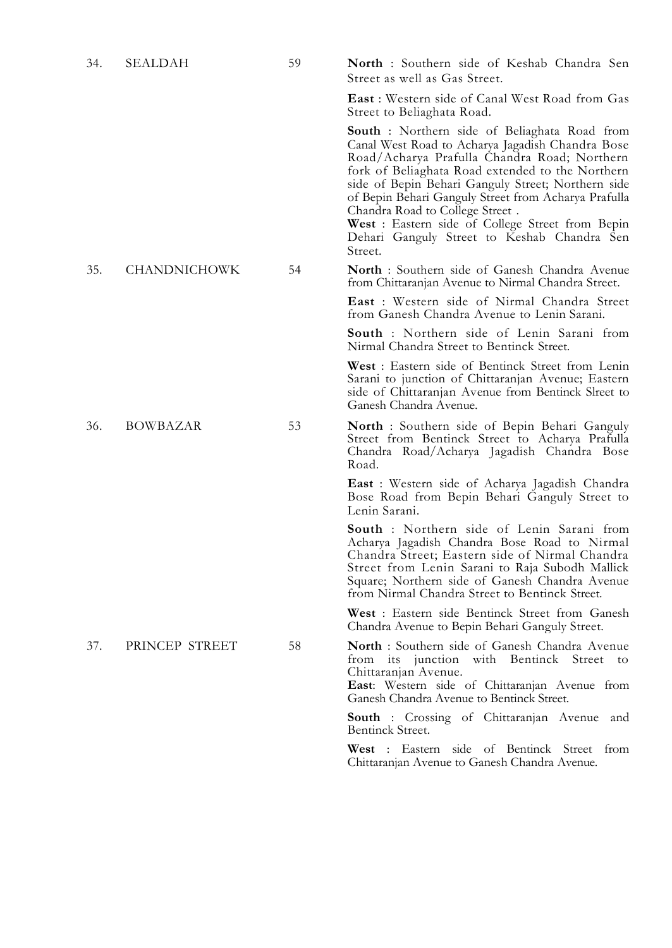| 34. | SEALDAH             | 59 | North : Southern side of Keshab Chandra Sen<br>Street as well as Gas Street.                                                                                                                                                                                                                                                                                                                                                                                        |
|-----|---------------------|----|---------------------------------------------------------------------------------------------------------------------------------------------------------------------------------------------------------------------------------------------------------------------------------------------------------------------------------------------------------------------------------------------------------------------------------------------------------------------|
|     |                     |    | <b>East</b> : Western side of Canal West Road from Gas<br>Street to Beliaghata Road.                                                                                                                                                                                                                                                                                                                                                                                |
|     |                     |    | South : Northern side of Beliaghata Road from<br>Canal West Road to Acharya Jagadish Chandra Bose<br>Road/Acharya Prafulla Chandra Road; Northern<br>fork of Beliaghata Road extended to the Northern<br>side of Bepin Behari Ganguly Street; Northern side<br>of Bepin Behari Ganguly Street from Acharya Prafulla<br>Chandra Road to College Street.<br>West: Eastern side of College Street from Bepin<br>Dehari Ganguly Street to Keshab Chandra Sen<br>Street. |
| 35. | <b>CHANDNICHOWK</b> | 54 | North : Southern side of Ganesh Chandra Avenue<br>from Chittaranjan Avenue to Nirmal Chandra Street.                                                                                                                                                                                                                                                                                                                                                                |
|     |                     |    | <b>East</b> : Western side of Nirmal Chandra Street<br>from Ganesh Chandra Avenue to Lenin Sarani.                                                                                                                                                                                                                                                                                                                                                                  |
|     |                     |    | <b>South</b> : Northern side of Lenin Sarani from<br>Nirmal Chandra Street to Bentinck Street.                                                                                                                                                                                                                                                                                                                                                                      |
|     |                     |    | West : Eastern side of Bentinck Street from Lenin<br>Sarani to junction of Chittaranjan Avenue; Eastern<br>side of Chittaranjan Avenue from Bentinck Slreet to<br>Ganesh Chandra Avenue.                                                                                                                                                                                                                                                                            |
| 36. | <b>BOWBAZAR</b>     | 53 | <b>North</b> : Southern side of Bepin Behari Ganguly<br>Street from Bentinck Street to Acharya Prafulla<br>Chandra Road/Acharya Jagadish Chandra Bose<br>Road.                                                                                                                                                                                                                                                                                                      |
|     |                     |    | <b>East</b> : Western side of Acharya Jagadish Chandra<br>Bose Road from Bepin Behari Ganguly Street to<br>Lenin Sarani.                                                                                                                                                                                                                                                                                                                                            |
|     |                     |    | <b>South</b> : Northern side of Lenin Sarani from<br>Acharya Jagadish Chandra Bose Road to Nirmal<br>Chandra Street; Eastern side of Nirmal Chandra<br>Street from Lenin Sarani to Raja Subodh Mallick<br>Square; Northern side of Ganesh Chandra Avenue<br>from Nirmal Chandra Street to Bentinck Street.                                                                                                                                                          |
|     |                     |    | West: Eastern side Bentinck Street from Ganesh<br>Chandra Avenue to Bepin Behari Ganguly Street.                                                                                                                                                                                                                                                                                                                                                                    |
| 37. | PRINCEP STREET      | 58 | North: Southern side of Ganesh Chandra Avenue<br>from its junction with Bentinck Street<br>to<br>Chittaranjan Avenue.<br><b>East:</b> Western side of Chittaranjan Avenue from<br>Ganesh Chandra Avenue to Bentinck Street.                                                                                                                                                                                                                                         |
|     |                     |    | <b>South</b> : Crossing of Chittaranjan Avenue<br>and<br>Bentinck Street.                                                                                                                                                                                                                                                                                                                                                                                           |
|     |                     |    | West : Eastern side of Bentinck Street from<br>Chittaranjan Avenue to Ganesh Chandra Avenue.                                                                                                                                                                                                                                                                                                                                                                        |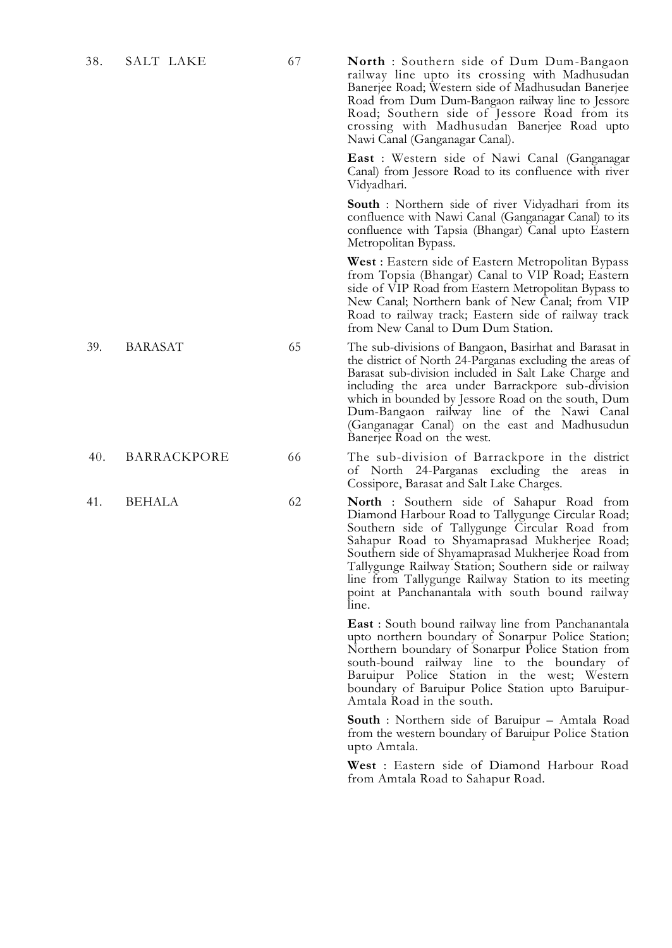38. SALT LAKE 67 **North** : Southern side of Dum Dum-Bangaon railway line upto its crossing with Madhusudan Banerjee Road; Western side of Madhusudan Banerjee Road from Dum Dum-Bangaon railway line to Jessore Road; Southern side of Jessore Road from its crossing with Madhusudan Banerjee Road upto Nawi Canal (Ganganagar Canal).

> **East** : Western side of Nawi Canal (Ganganagar Canal) from Jessore Road to its confluence with river Vidyadhari.

> **South** : Northern side of river Vidyadhari from its confluence with Nawi Canal (Ganganagar Canal) to its confluence with Tapsia (Bhangar) Canal upto Eastern Metropolitan Bypass.

> **West** : Eastern side of Eastern Metropolitan Bypass from Topsia (Bhangar) Canal to VIP Road; Eastern side of VIP Road from Eastern Metropolitan Bypass to New Canal; Northern bank of New Canal; from VIP Road to railway track; Eastern side of railway track from New Canal to Dum Dum Station.

39. BARASAT 65 The sub-divisions of Bangaon, Basirhat and Barasat in the district of North 24-Parganas excluding the areas of Barasat sub-division included in Salt Lake Charge and including the area under Barrackpore sub-division which in bounded by Jessore Road on the south, Dum Dum-Bangaon railway line of the Nawi Canal (Ganganagar Canal) on the east and Madhusudun Banerjee Road on the west.

40. BARRACKPORE 66 The sub-division of Barrackpore in the district of North 24-Parganas excluding the areas in Cossipore, Barasat and Salt Lake Charges.

41. BEHALA 62 **North** : Southern side of Sahapur Road from Diamond Harbour Road to Tallygunge Circular Road; Southern side of Tallygunge Circular Road from Sahapur Road to Shyamaprasad Mukherjee Road; Southern side of Shyamaprasad Mukherjee Road from Tallygunge Railway Station; Southern side or railway line from Tallygunge Railway Station to its meeting point at Panchanantala with south bound railway line.

> **East** : South bound railway line from Panchanantala upto northern boundary of Sonarpur Police Station; Northern boundary of Sonarpur Police Station from south-bound railway line to the boundary of Baruipur Police Station in the west; Western boundary of Baruipur Police Station upto Baruipur-Amtala Road in the south.

> **South** : Northern side of Baruipur – Amtala Road from the western boundary of Baruipur Police Station upto Amtala.

> **West** : Eastern side of Diamond Harbour Road from Amtala Road to Sahapur Road.

- 
- 
-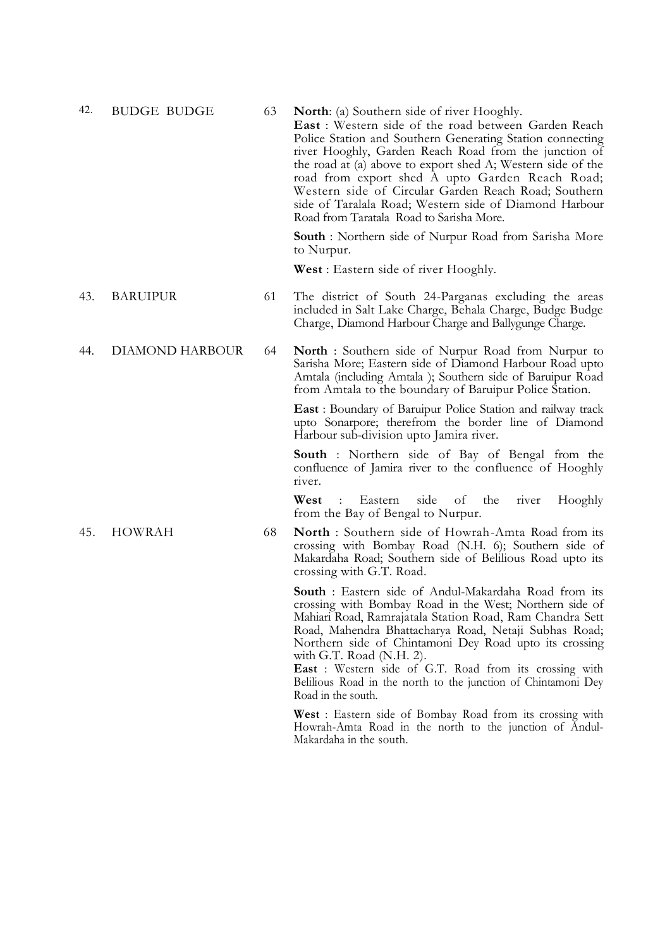| 42. | <b>BUDGE BUDGE</b> | 63 | <b>North:</b> (a) Southern side of river Hooghly.<br>East: Western side of the road between Garden Reach<br>Police Station and Southern Generating Station connecting<br>river Hooghly, Garden Reach Road from the junction of<br>the road at (a) above to export shed A; Western side of the<br>road from export shed A upto Garden Reach Road;<br>Western side of Circular Garden Reach Road; Southern<br>side of Taralala Road; Western side of Diamond Harbour<br>Road from Taratala Road to Sarisha More. |
|-----|--------------------|----|----------------------------------------------------------------------------------------------------------------------------------------------------------------------------------------------------------------------------------------------------------------------------------------------------------------------------------------------------------------------------------------------------------------------------------------------------------------------------------------------------------------|
|     |                    |    | <b>South</b> : Northern side of Nurpur Road from Sarisha More<br>to Nurpur.                                                                                                                                                                                                                                                                                                                                                                                                                                    |
|     |                    |    | <b>West</b> : Eastern side of river Hooghly.                                                                                                                                                                                                                                                                                                                                                                                                                                                                   |
| 43. | <b>BARUIPUR</b>    | 61 | The district of South 24-Parganas excluding the areas<br>included in Salt Lake Charge, Behala Charge, Budge Budge<br>Charge, Diamond Harbour Charge and Ballygunge Charge.                                                                                                                                                                                                                                                                                                                                     |
| 44. | DIAMOND HARBOUR    | 64 | <b>North</b> : Southern side of Nurpur Road from Nurpur to<br>Sarisha More; Eastern side of Diamond Harbour Road upto<br>Amtala (including Amtala); Southern side of Baruipur Road<br>from Amtala to the boundary of Baruipur Police Station.                                                                                                                                                                                                                                                                  |
|     |                    |    | <b>East</b> : Boundary of Baruipur Police Station and railway track<br>upto Sonarpore; therefrom the border line of Diamond<br>Harbour sub-division upto Jamira river.                                                                                                                                                                                                                                                                                                                                         |
|     |                    |    | <b>South</b> : Northern side of Bay of Bengal from the<br>confluence of Jamira river to the confluence of Hooghly<br>river.                                                                                                                                                                                                                                                                                                                                                                                    |
|     |                    |    | West<br>Eastern<br>side<br>of<br>the<br>Hooghly<br>$\mathbb{R}^{\mathbb{Z}}$<br>river<br>from the Bay of Bengal to Nurpur.                                                                                                                                                                                                                                                                                                                                                                                     |
| 45. | <b>HOWRAH</b>      | 68 | North : Southern side of Howrah-Amta Road from its<br>crossing with Bombay Road (N.H. 6); Southern side of<br>Makardaha Road; Southern side of Belilious Road upto its<br>crossing with G.T. Road.                                                                                                                                                                                                                                                                                                             |
|     |                    |    | <b>South</b> : Eastern side of Andul-Makardaha Road from its<br>crossing with Bombay Road in the West; Northern side of<br>Mahiari Road, Ramrajatala Station Road, Ram Chandra Sett<br>Road, Mahendra Bhattacharya Road, Netaji Subhas Road;<br>Northern side of Chintamoni Dey Road upto its crossing                                                                                                                                                                                                         |

with G.T. Road (N.H. 2). East : Western side of G.T. Road from its crossing with Belilious Road in the north to the junction of Chintamoni Dey Road in the south.

**West** : Eastern side of Bombay Road from its crossing with Howrah-Amta Road in the north to the junction of Andul-Makardaha in the south.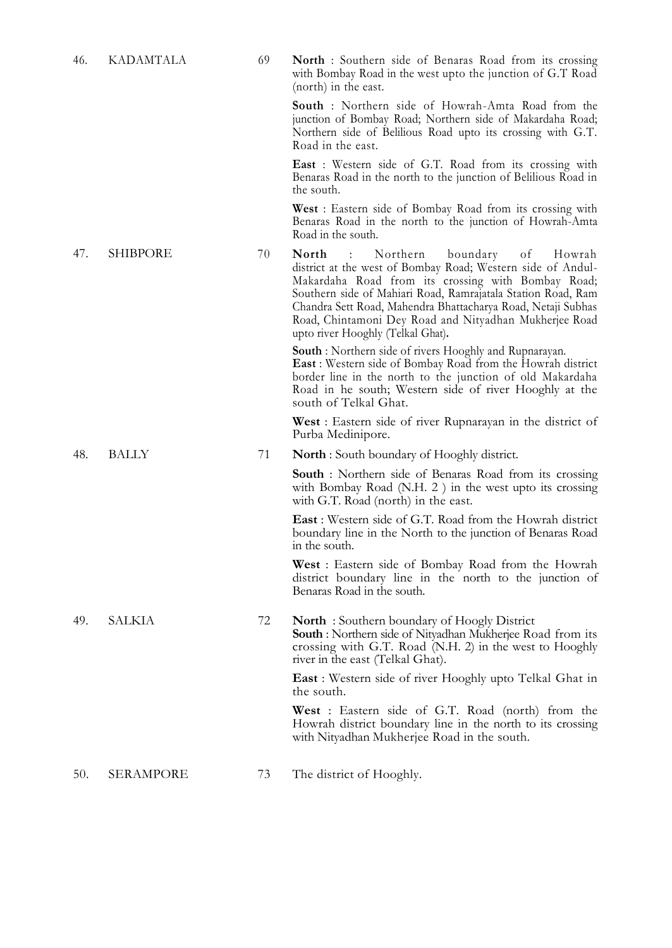| 46. | <b>KADAMTALA</b> | 69 | <b>North</b> : Southern side of Benaras Road from its crossing<br>with Bombay Road in the west upto the junction of G.T Road<br>(north) in the east.                                                                                                                                                                                                                                                            |
|-----|------------------|----|-----------------------------------------------------------------------------------------------------------------------------------------------------------------------------------------------------------------------------------------------------------------------------------------------------------------------------------------------------------------------------------------------------------------|
|     |                  |    | <b>South</b> : Northern side of Howrah-Amta Road from the<br>junction of Bombay Road; Northern side of Makardaha Road;<br>Northern side of Belilious Road upto its crossing with G.T.<br>Road in the east.                                                                                                                                                                                                      |
|     |                  |    | <b>East</b> : Western side of G.T. Road from its crossing with<br>Benaras Road in the north to the junction of Belilious Road in<br>the south.                                                                                                                                                                                                                                                                  |
|     |                  |    | <b>West</b> : Eastern side of Bombay Road from its crossing with<br>Benaras Road in the north to the junction of Howrah-Amta<br>Road in the south.                                                                                                                                                                                                                                                              |
| 47. | <b>SHIBPORE</b>  | 70 | Northern<br>boundary<br>North<br>of<br>$\sim 100$<br>Howrah<br>district at the west of Bombay Road; Western side of Andul-<br>Makardaha Road from its crossing with Bombay Road;<br>Southern side of Mahiari Road, Ramrajatala Station Road, Ram<br>Chandra Sett Road, Mahendra Bhattacharya Road, Netaji Subhas<br>Road, Chintamoni Dey Road and Nityadhan Mukherjee Road<br>upto river Hooghly (Telkal Ghat). |
|     |                  |    | <b>South</b> : Northern side of rivers Hooghly and Rupnarayan.<br>East : Western side of Bombay Road from the Howrah district<br>border line in the north to the junction of old Makardaha<br>Road in he south; Western side of river Hooghly at the<br>south of Telkal Ghat.                                                                                                                                   |
|     |                  |    | <b>West</b> : Eastern side of river Rupnarayan in the district of<br>Purba Medinipore.                                                                                                                                                                                                                                                                                                                          |
| 48. | <b>BALLY</b>     | 71 | <b>North</b> : South boundary of Hooghly district.                                                                                                                                                                                                                                                                                                                                                              |
|     |                  |    | <b>South</b> : Northern side of Benaras Road from its crossing<br>with Bombay Road (N.H. $2$ ) in the west upto its crossing<br>with G.T. Road (north) in the east.                                                                                                                                                                                                                                             |
|     |                  |    | <b>East</b> : Western side of G.T. Road from the Howrah district<br>boundary line in the North to the junction of Benaras Road<br>in the south.                                                                                                                                                                                                                                                                 |
|     |                  |    | <b>West</b> : Eastern side of Bombay Road from the Howrah<br>district boundary line in the north to the junction of<br>Benaras Road in the south.                                                                                                                                                                                                                                                               |
| 49. | SALKIA           | 72 | <b>North</b> : Southern boundary of Hoogly District<br><b>South:</b> Northern side of Nityadhan Mukherjee Road from its<br>crossing with G.T. Road (N.H. 2) in the west to Hooghly<br>river in the east (Telkal Ghat).                                                                                                                                                                                          |
|     |                  |    | <b>East</b> : Western side of river Hooghly upto Telkal Ghat in<br>the south.                                                                                                                                                                                                                                                                                                                                   |
|     |                  |    | <b>West</b> : Eastern side of G.T. Road (north) from the<br>Howrah district boundary line in the north to its crossing<br>with Nityadhan Mukherjee Road in the south.                                                                                                                                                                                                                                           |
| 50. | SERAMPORE        | 73 | The district of Hooghly.                                                                                                                                                                                                                                                                                                                                                                                        |